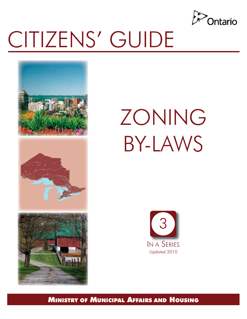

 

# CITIZENS' GUIDE







MINISTRY OF MUNICIPAL AFFAIRS AND HOUSING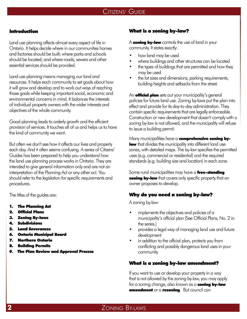#### Introduction

Land use planning affects almost every aspect of life in Ontario. It helps decide where in our communities homes and factories should be built; where parks and schools should be located; and where roads, sewers and other essential services should be provided.

Land use planning means managing our land and resources. It helps each community to set goals about how it will grow and develop and to work out ways of reaching those goals while keeping important social, economic and environmental concerns in mind. It balances the interests of individual property owners with the wider interests and objectives of the whole community.

Good planning leads to orderly growth and the efficient provision of services. It touches all of us and helps us to have the kind of community we want.

But often we don't see how it affects our lives and property each day. And it often seems confusing. A series of Citizens' Guides has been prepared to help you understand how the land use planning process works in Ontario. They are intended to give general information only and are not an interpretation of the Planning Act or any other act. You should refer to the legislation for specific requirements and procedures.

The titles of the guides are:

- 1. The Planning Act
- 2. Official Plans
- 3. Zoning By-laws
- 4. Subdivisions
- 5. Land Severances
- 6. Ontario Municipal Board
- 7. Northern Ontario
- 8. Building Permits
- 9. The Plan Review and Approval Process

#### What is a zoning by-law?

A **zoning by-law** controls the use of land in your community. It states exactly:

- how land may be used
- where buildings and other structures can be located
- the types of buildings that are permitted and how they may be used
- the lot sizes and dimensions, parking requirements, building heights and setbacks from the street.

An **official plan** sets out your municipality's general policies for future land use. Zoning by-laws put the plan into effect and provide for its day-to-day administration. They contain specific requirements that are legally enforceable. Construction or new development that doesn't comply with a zoning by-law is not allowed, and the municipality will refuse to issue a building permit.

Many municipalities have a comprehensive zoning bylaw that divides the municipality into different land use zones, with detailed maps. The by-law specifies the permitted uses (e.g. commercial or residential) and the required standards (e.g. building size and location) in each zone.

Some rural municipalities may have a free-standing **zoning by-law** that covers only specific property that an owner proposes to develop.

#### Why do you need a zoning by-law?

A zoning by-law:

- implements the objectives and policies of a municipality's official plan (See Official Plans, No. 2 in the series.)
- provides a legal way of managing land use and future development
- in addition to the official plan, protects you from conflicting and possibly dangerous land uses in your community.

## What is a zoning by-law amendment?

 If you want to use or develop your property in a way that is not allowed by the zoning by-law, you may apply for a zoning change, also known as a **zoning by-law** amendment or a rezoning. But council can

# **2** ZONING BY-LAWS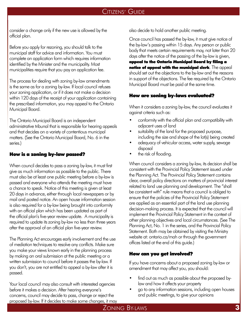consider a change only if the new use is allowed by the official plan.

 Before you apply for rezoning, you should talk to the municipal staff for advice and information. You must complete an application form which requires information identified by the Minister and the municipality. Most municipalities require that you pay an application fee.

 The process for dealing with zoning by-law amendments is the same as for a zoning by-law. If local council refuses your zoning application, or if it does not make a decision within 120 days of the receipt of your application containing the prescribed information, you may appeal to the Ontario Municipal Board.

 The Ontario Municipal Board is an independent administrative tribunal that is responsible for hearing appeals and that decides on a variety of contentious municipal matters. (See the Ontario Municipal Board, No. 6 in the series.)

## How is a zoning by-law passed?

 When council decides to pass a zoning by-law, it must first give as much information as possible to the public. There must also be at least one public meeting before a by-law is passed and everyone who attends the meeting must have a chance to speak. Notice of this meeting is given at least 20 days in advance, either through local newspapers or by mail and posted notice. An open house information session is also required for a by-law being brought into conformity with an official plan which has been updated as part of the official plan's five-year review update. A municipality is required to update its zoning by-law no less than three years after the approval of an official plan five-year review.

 The Planning Act encourages early involvement and the use of mediation techniques to resolve any conflicts. Make sure you make your views known early in the planning process by making an oral submission at the public meeting or a written submission to council before it passes the by-law. If you don't, you are not entitled to appeal a by-law after it is passed.

 Your local council may also consult with interested agencies before it makes a decision. After hearing everyone's concerns, council may decide to pass, change or reject the proposed by-law. If it decides to make some changes, it may also decide to hold another public meeting.

 Once council has passed the by-law, it must give notice of the by-law's passing within 15 days. Any person or public body that meets certain requirements may, not later than 20 days after the notice of the passing of the by-law is given,

 appeal to the Ontario Municipal Board by filing a notice of appeal with the municipal clerk. The appeal should set out the objections to the by-law and the reasons in support of the objections. The fee required by the Ontario Municipal Board must be paid at the same time.

## How are zoning by-laws evaluated?

When it considers a zoning by-law, the council evaluates it against criteria such as:

- conformity with the official plan and compatibility with adjacent uses of land
- suitability of the land for the proposed purpose, including the size and shape of the lot(s) being created
- adequacy of vehicular access, water supply, sewage disposal
- the risk of flooding.

 When council considers a zoning by-law, its decision shall be consistent with the Provincial Policy Statement issued under the Planning Act. The Provincial Policy Statement contains clear, overall policy directions on matters of provincial interest related to land use planning and development. The "shall be consistent with" rule means that a council is obliged to ensure that the policies of the Provincial Policy Statement are applied as an essential part of the land use planning decision-making process. It is expected that the council will implement the Provincial Policy Statement in the context of other planning objectives and local circumstances. (See The Planning Act, No. 1 in the series, and the Provincial Policy Statement. Both may be obtained by visiting the Ministry website at: ontario.ca/mah or through the government offices listed at the end of this guide.)

## How can you get involved?

If you have concerns about a proposed zoning by-law or amendment that may affect you, you should:

- find out as much as possible about the proposed bylaw and how it affects your property
- go to any information sessions, including open houses and public meetings, to give your opinions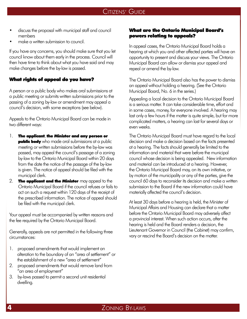- discuss the proposal with municipal staff and council members
- make a written submission to council.

 If you have any concerns, you should make sure that you let council know about them early in the process. Council will then have time to think about what you have said and may make changes before the by-law is passed.

## What rights of appeal do you have?

A person or a public body who makes oral submissions at a public meeting or submits written submissions prior to the passing of a zoning by-law or amendment may appeal a council's decision, with some exceptions (see below).

Appeals to the Ontario Municipal Board can be made in two different ways:

- 1. The applicant, the Minister and any person or **public body** who made oral submissions at a public meeting or written submissions before the by-law was passed, may appeal the council's passage of a zoning by-law to the Ontario Municipal Board within 20 days from the date the notice of the passage of the by-law is given. The notice of appeal should be filed with the municipal clerk.
- 2. The applicant and the Minister may appeal to the Ontario Municipal Board if the council refuses or fails to act on such a request within 120 days of the receipt of the prescribed information. The notice of appeal should be filed with the municipal clerk.

Your appeal must be accompanied by written reasons and the fee required by the Ontario Municipal Board.

Generally, appeals are not permitted in the following three circumstances:

- 1. proposed amendments that would implement an alteration to the boundary of an "area of settlement" or the establishment of a new "area of settlement"
- 2. proposed amendments that would remove land from "an area of employment"
- 3. by-laws passed to permit a second unit residential dwelling.

#### What are the Ontario Municipal Board's powers relating to appeals?

 In appeal cases, the Ontario Municipal Board holds a hearing at which you and other affected parties will have an opportunity to present and discuss your views. The Ontario Municipal Board can allow or dismiss your appeal and repeal or amend the by-law.

 The Ontario Municipal Board also has the power to dismiss an appeal without holding a hearing. (See the Ontario Municipal Board, No. 6 in the series.)

 Appealing a local decision to the Ontario Municipal Board is a serious matter. It can take considerable time, effort and in some cases, money, for everyone involved. A hearing may last only a few hours if the matter is quite simple, but for more complicated matters, a hearing can last for several days or even weeks.

 The Ontario Municipal Board must have regard to the local decision and make a decision based on the facts presented at a hearing. The facts should generally be limited to the information and material that were before the municipal council whose decision is being appealed. New information and material can be introduced at a hearing. However, the Ontario Municipal Board may, on its own initiative, or by motion of the municipality or any of the parties, give the council 60 days to reconsider its decision and make a written submission to the Board if the new information could have materially affected the council's decision.

 At least 30 days before a hearing is held, the Minister of Municipal Affairs and Housing can declare that a matter before the Ontario Municipal Board may adversely affect a provincial interest. When such action occurs, after the hearing is held and the Board renders a decision, the Lieutenant Governor in Council (the Cabinet) may confirm, vary or rescind the Board's decision on the matter.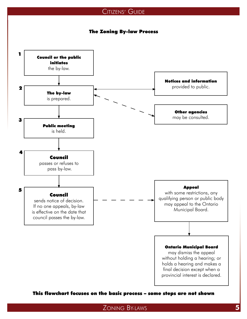## The Zoning By-law Process



This flowchart focuses on the basic process – some steps are not shown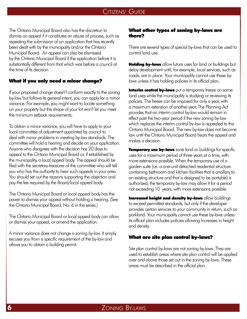The Ontario Municipal Board also has the discretion to dismiss an appeal if it constitutes an abuse of process, such as repeating the submission of an application that has recently been dealt with by the municipality and/or the Ontario Municipal Board. An appeal can also be dismissed by the Ontario Municipal Board if the application before it is substantially different from that which was before a council at the time of its decision.

#### What if you only need a minor change?

 If your proposed change doesn't conform exactly to the zoning by-law, but follows its general intent, you can apply for a minor variance. For example, you might want to locate something on your property but the shape of your lot won't let you meet the minimum setback requirements.

 To obtain a minor variance, you will have to apply to your local committee of adjustment appointed by council to deal with minor problems in meeting by-law standards. The committee will hold a hearing and decide on your application. Anyone who disagrees with the decision has 20 days to appeal to the Ontario Municipal Board or, if established by the municipality, a local appeal body. The appeal should be filed with the secretary-treasurer of the committee who will tell you who has the authority to hear such appeals in your area. You should set out the reasons supporting the objection and pay the fee required by the Board/local appeal body.

 The Ontario Municipal Board or local appeal body has the power to dismiss your appeal without holding a hearing. (See the Ontario Municipal Board, No. 6 in the series.)

 The Ontario Municipal Board or local appeal body can allow or dismiss your appeal, or amend the application.

 A minor variance does not change a zoning by-law. It simply excuses you from a specific requirement of the by-law and allows you to obtain a building permit.

#### What other types of zoning by-laws are there?

 There are several types of special by-laws that can be used to control land use:

Holding by-laws allow future uses for land or buildings but delay development until, for example, local services, such as roads, are in place. Your municipality cannot use these by-laws unless it has holding policies in its official plan.

**Interim control by-laws** put a temporary freeze on some land uses while the municipality is studying or reviewing its policies. The freeze can be imposed for only a year, with a maximum extension of another year. The Planning Act provides that an interim control by-law would remain in effect past the two-year period if the new zoning by-law which replaces the interim control by-law is appealed to the Ontario Municipal Board. The new by-law does not become law until the Ontario Municipal Board hears the appeal and makes a decision.

**Temporary use by-laws** zone land or buildings for specific uses for a maximum period of three years at a time, with more extensions possible. When the temporary use of a garden suite (i.e. a one-unit detached residential structure containing bathroom and kitchen facilities that is ancillary to an existing structure and that is designed to be portable) is authorized, the temporary by-law may allow it for a period not exceeding 10 years, with more extensions possible.

**Increased height and density by-laws** allow buildings to exceed permitted standards, but only if the developer provides certain services to your community in return, such as parkland. Your municipality cannot use these by-laws unless its official plan includes policies allowing increases in height and density.

#### What are site plan control by-laws?

 Site plan control by-laws are not zoning by-laws. They are used to establish areas where site plan control will be applied over and above those set out in the zoning by-laws. These areas must be described in the official plan.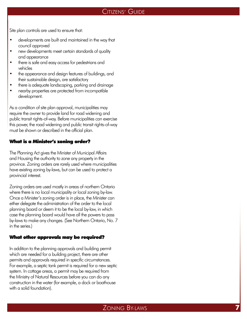- Site plan controls are used to ensure that:<br>• developments are built and maintained in the way that council approved
- new developments meet certain standards of quality and appearance
- there is safe and easy access for pedestrians and vehicles
- the appearance and design features of buildings, and their sustainable design, are satisfactory<br>there is adequate landscaping, parking and drainage
- there is adequate landscaping, parking and draina<br>• nearby properties are protected from incompatible
- development.

As a condition of site plan approval, municipalities may require the owner to provide land for road widening and public transit rights-of-way. Before municipalities can exercise this power, the road widening and public transit rights-of-way must be shown or described in the official plan.

#### What is a Minister's zoning order?

 The Planning Act gives the Minister of Municipal Affairs and Housing the authority to zone any property in the province. Zoning orders are rarely used where municipalities have existing zoning by-laws, but can be used to protect a provincial interest.

 Zoning orders are used mostly in areas of northern Ontario where there is no local municipality or local zoning by-law. Once a Minister's zoning order is in place, the Minister can either delegate the administration of the order to the local planning board or deem it to be the local by-law, in which case the planning board would have all the powers to pass by-laws to make any changes. (See Northern Ontario, No. 7 in the series.)

#### What other approvals may be required?

 In addition to the planning approvals and building permit which are needed for a building project, there are other permits and approvals required in specific circumstances. For example, a septic tank permit is required for a new septic system. In cottage areas, a permit may be required from the Ministry of Natural Resources before you can do any construction in the water (for example, a dock or boathouse with a solid foundation).